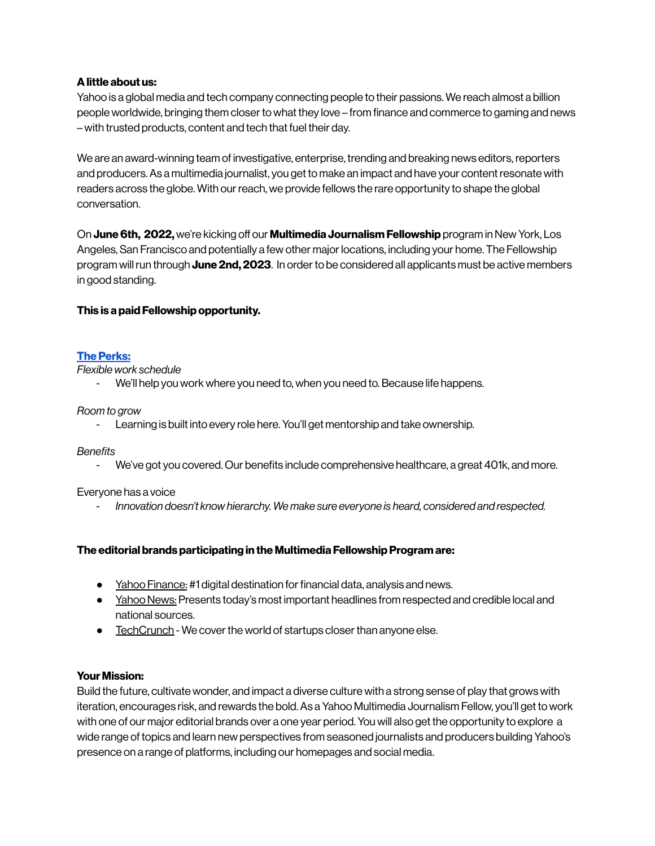# **Alittle about us:**

Yahoo is a global media and tech company connecting people to their passions. We reach almost a billion people worldwide, bringing them closerto what they love – from finance and commerce to gaming and news – with trusted products, content and tech that fuel their day.

We are an award-winning team of investigative, enterprise, trending and breaking news editors,reporters and producers.As a multimedia journalist, you get to make an impact and have your contentresonate with readers across the globe. With our reach, we provide fellows the rare opportunity to shape the global conversation.

On June 6th, 2022, we're kicking off our Multimedia Journalism Fellowship program in New York, Los Angeles, San Francisco and potentially a few other major locations, including your home. The Fellowship program willrun through **June 2nd, 2023**. In orderto be considered all applicants must be active members in good standing.

# **This is a paid Fellowship opportunity.**

# **The Perks:**

*Flexible work schedule*

We'll help you work where you need to, when you need to. Because life happens.

### *Room to grow*

- Learning is built into every role here. You'll get mentorship and take ownership.

### *Benefits*

- We've got you covered. Our benefits include comprehensive healthcare, a great 401k, and more.

### Everyone has a voice

*- Innovation doesn't know hierarchy. We make sure everyone is heard, considered and respected.*

### **The editorial brands participating in the Multimedia FellowshipProgram are:**

- Yahoo [Finance:](https://finance.yahoo.com/) #1 digital destination for financial data, analysis and news.
- Yahoo News: Presents today's most important headlines from respected and credible local and national sources.
- [TechCrunch](https://techcrunch.com/) We cover the world of startups closer than anyone else.

### **Your Mission:**

Build the future, cultivate wonder, and impact a diverse culture with a strong sense of play that grows with iteration, encourages risk, and rewards the bold.As a Yahoo Multimedia Journalism Fellow, you'll get to work with one of our major editorial brands over a one year period. You will also get the opportunity to explore a wide range of topics and learn new perspectives from seasoned journalists and producers building Yahoo's presence on a range of platforms, including our homepages and social media.